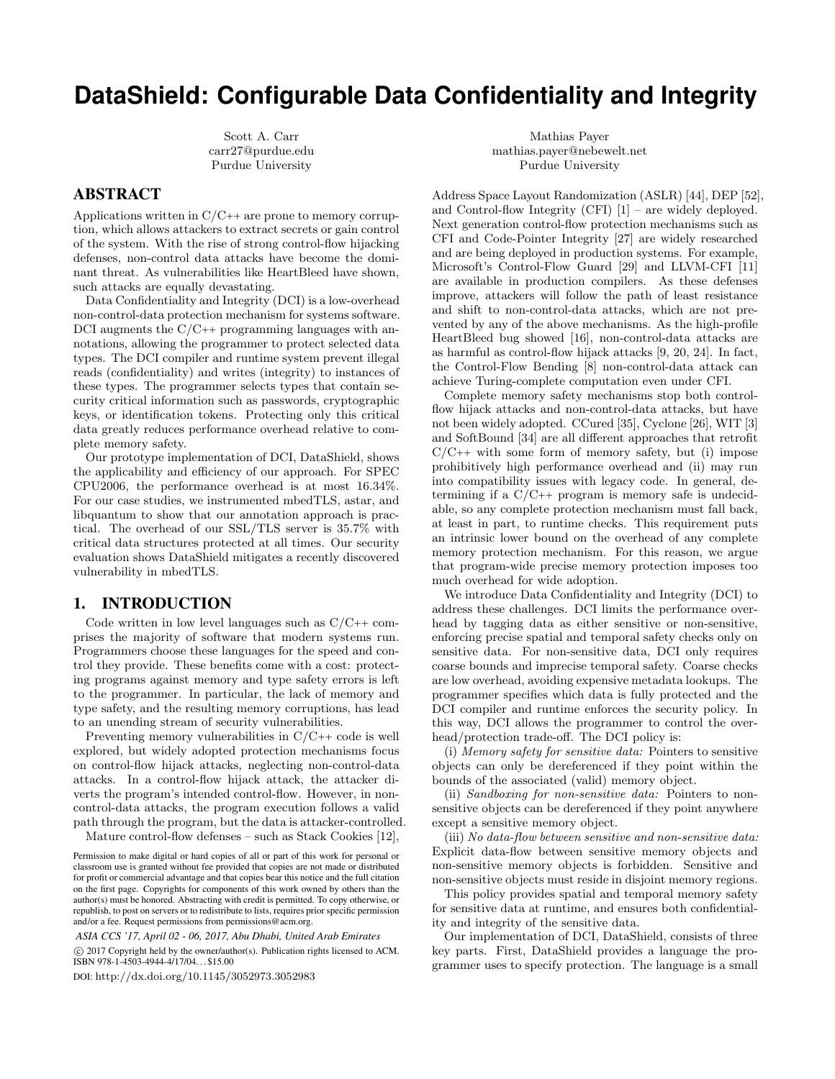# **DataShield: Configurable Data Confidentiality and Integrity**

Scott A. Carr carr27@purdue.edu Purdue University

# ABSTRACT

Applications written in  $C/C++$  are prone to memory corruption, which allows attackers to extract secrets or gain control of the system. With the rise of strong control-flow hijacking defenses, non-control data attacks have become the dominant threat. As vulnerabilities like HeartBleed have shown, such attacks are equally devastating.

Data Confidentiality and Integrity (DCI) is a low-overhead non-control-data protection mechanism for systems software. DCI augments the  $C/C_{++}$  programming languages with annotations, allowing the programmer to protect selected data types. The DCI compiler and runtime system prevent illegal reads (confidentiality) and writes (integrity) to instances of these types. The programmer selects types that contain security critical information such as passwords, cryptographic keys, or identification tokens. Protecting only this critical data greatly reduces performance overhead relative to complete memory safety.

Our prototype implementation of DCI, DataShield, shows the applicability and efficiency of our approach. For SPEC CPU2006, the performance overhead is at most 16.34%. For our case studies, we instrumented mbedTLS, astar, and libquantum to show that our annotation approach is practical. The overhead of our SSL/TLS server is 35.7% with critical data structures protected at all times. Our security evaluation shows DataShield mitigates a recently discovered vulnerability in mbedTLS.

# 1. INTRODUCTION

Code written in low level languages such as  $C/C++$  comprises the majority of software that modern systems run. Programmers choose these languages for the speed and control they provide. These benefits come with a cost: protecting programs against memory and type safety errors is left to the programmer. In particular, the lack of memory and type safety, and the resulting memory corruptions, has lead to an unending stream of security vulnerabilities.

Preventing memory vulnerabilities in C/C++ code is well explored, but widely adopted protection mechanisms focus on control-flow hijack attacks, neglecting non-control-data attacks. In a control-flow hijack attack, the attacker diverts the program's intended control-flow. However, in noncontrol-data attacks, the program execution follows a valid path through the program, but the data is attacker-controlled.

Mature control-flow defenses – such as Stack Cookies [\[12\]](#page-10-0),

*ASIA CCS '17, April 02 - 06, 2017, Abu Dhabi, United Arab Emirates* c 2017 Copyright held by the owner/author(s). Publication rights licensed to ACM. ISBN 978-1-4503-4944-4/17/04. . . \$15.00

DOI: <http://dx.doi.org/10.1145/3052973.3052983>

Mathias Payer mathias.payer@nebewelt.net Purdue University

Address Space Layout Randomization (ASLR) [\[44\]](#page-11-0), DEP [\[52\]](#page-11-1), and Control-flow Integrity (CFI) [\[1\]](#page-10-1) – are widely deployed. Next generation control-flow protection mechanisms such as CFI and Code-Pointer Integrity [\[27\]](#page-11-2) are widely researched and are being deployed in production systems. For example, Microsoft's Control-Flow Guard [\[29\]](#page-11-3) and LLVM-CFI [\[11\]](#page-10-2) are available in production compilers. As these defenses improve, attackers will follow the path of least resistance and shift to non-control-data attacks, which are not prevented by any of the above mechanisms. As the high-profile HeartBleed bug showed [\[16\]](#page-11-4), non-control-data attacks are as harmful as control-flow hijack attacks [\[9,](#page-10-3) [20,](#page-11-5) [24\]](#page-11-6). In fact, the Control-Flow Bending [\[8\]](#page-10-4) non-control-data attack can achieve Turing-complete computation even under CFI.

Complete memory safety mechanisms stop both controlflow hijack attacks and non-control-data attacks, but have not been widely adopted. CCured [\[35\]](#page-11-7), Cyclone [\[26\]](#page-11-8), WIT [\[3\]](#page-10-5) and SoftBound [\[34\]](#page-11-9) are all different approaches that retrofit  $C/C_{++}$  with some form of memory safety, but (i) impose prohibitively high performance overhead and (ii) may run into compatibility issues with legacy code. In general, determining if a  $C/C++$  program is memory safe is undecidable, so any complete protection mechanism must fall back, at least in part, to runtime checks. This requirement puts an intrinsic lower bound on the overhead of any complete memory protection mechanism. For this reason, we argue that program-wide precise memory protection imposes too much overhead for wide adoption.

We introduce Data Confidentiality and Integrity (DCI) to address these challenges. DCI limits the performance overhead by tagging data as either sensitive or non-sensitive, enforcing precise spatial and temporal safety checks only on sensitive data. For non-sensitive data, DCI only requires coarse bounds and imprecise temporal safety. Coarse checks are low overhead, avoiding expensive metadata lookups. The programmer specifies which data is fully protected and the DCI compiler and runtime enforces the security policy. In this way, DCI allows the programmer to control the overhead/protection trade-off. The DCI policy is:

(i) Memory safety for sensitive data: Pointers to sensitive objects can only be dereferenced if they point within the bounds of the associated (valid) memory object.

(ii) Sandboxing for non-sensitive data: Pointers to nonsensitive objects can be dereferenced if they point anywhere except a sensitive memory object.

(iii) No data-flow between sensitive and non-sensitive data: Explicit data-flow between sensitive memory objects and non-sensitive memory objects is forbidden. Sensitive and non-sensitive objects must reside in disjoint memory regions.

This policy provides spatial and temporal memory safety for sensitive data at runtime, and ensures both confidentiality and integrity of the sensitive data.

Our implementation of DCI, DataShield, consists of three key parts. First, DataShield provides a language the programmer uses to specify protection. The language is a small

Permission to make digital or hard copies of all or part of this work for personal or classroom use is granted without fee provided that copies are not made or distributed for profit or commercial advantage and that copies bear this notice and the full citation on the first page. Copyrights for components of this work owned by others than the author(s) must be honored. Abstracting with credit is permitted. To copy otherwise, or republish, to post on servers or to redistribute to lists, requires prior specific permission and/or a fee. Request permissions from permissions@acm.org.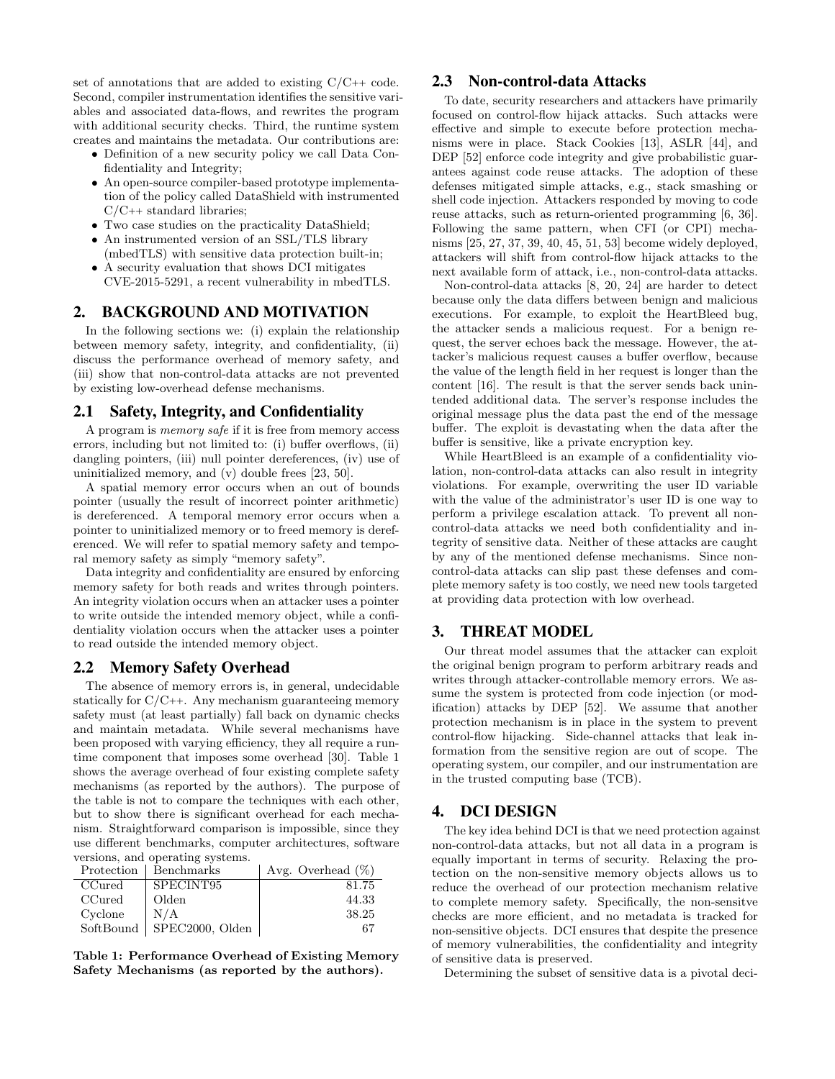set of annotations that are added to existing  $C/C++$  code. Second, compiler instrumentation identifies the sensitive variables and associated data-flows, and rewrites the program with additional security checks. Third, the runtime system creates and maintains the metadata. Our contributions are:

- Definition of a new security policy we call Data Confidentiality and Integrity;
- An open-source compiler-based prototype implementation of the policy called DataShield with instrumented C/C++ standard libraries;
- Two case studies on the practicality DataShield;
- An instrumented version of an SSL/TLS library (mbedTLS) with sensitive data protection built-in;
- A security evaluation that shows DCI mitigates CVE-2015-5291, a recent vulnerability in mbedTLS.

# 2. BACKGROUND AND MOTIVATION

In the following sections we: (i) explain the relationship between memory safety, integrity, and confidentiality, (ii) discuss the performance overhead of memory safety, and (iii) show that non-control-data attacks are not prevented by existing low-overhead defense mechanisms.

# 2.1 Safety, Integrity, and Confidentiality

A program is memory safe if it is free from memory access errors, including but not limited to: (i) buffer overflows, (ii) dangling pointers, (iii) null pointer dereferences, (iv) use of uninitialized memory, and (v) double frees [\[23,](#page-11-10) [50\]](#page-11-11).

A spatial memory error occurs when an out of bounds pointer (usually the result of incorrect pointer arithmetic) is dereferenced. A temporal memory error occurs when a pointer to uninitialized memory or to freed memory is dereferenced. We will refer to spatial memory safety and temporal memory safety as simply "memory safety".

Data integrity and confidentiality are ensured by enforcing memory safety for both reads and writes through pointers. An integrity violation occurs when an attacker uses a pointer to write outside the intended memory object, while a confidentiality violation occurs when the attacker uses a pointer to read outside the intended memory object.

# 2.2 Memory Safety Overhead

The absence of memory errors is, in general, undecidable statically for C/C++. Any mechanism guaranteeing memory safety must (at least partially) fall back on dynamic checks and maintain metadata. While several mechanisms have been proposed with varying efficiency, they all require a runtime component that imposes some overhead [\[30\]](#page-11-12). [Table 1](#page-1-0) shows the average overhead of four existing complete safety mechanisms (as reported by the authors). The purpose of the table is not to compare the techniques with each other, but to show there is significant overhead for each mechanism. Straightforward comparison is impossible, since they use different benchmarks, computer architectures, software versions, and operating systems.

| Protection | Benchmarks          | Avg. Overhead $(\%)$ |
|------------|---------------------|----------------------|
| CCured     | SPECINT95           | 81.75                |
| CCured     | Olden               | 44.33                |
| Cyclone    | N/A                 | 38.25                |
| SoftBound  | $ $ SPEC2000, Olden | 67                   |

<span id="page-1-0"></span>Table 1: Performance Overhead of Existing Memory Safety Mechanisms (as reported by the authors).

# 2.3 Non-control-data Attacks

To date, security researchers and attackers have primarily focused on control-flow hijack attacks. Such attacks were effective and simple to execute before protection mechanisms were in place. Stack Cookies [\[13\]](#page-10-6), ASLR [\[44\]](#page-11-0), and DEP [\[52\]](#page-11-1) enforce code integrity and give probabilistic guarantees against code reuse attacks. The adoption of these defenses mitigated simple attacks, e.g., stack smashing or shell code injection. Attackers responded by moving to code reuse attacks, such as return-oriented programming [\[6,](#page-10-7) [36\]](#page-11-13). Following the same pattern, when CFI (or CPI) mechanisms [\[25,](#page-11-14) [27,](#page-11-2) [37,](#page-11-15) [39,](#page-11-16) [40,](#page-11-17) [45,](#page-11-18) [51,](#page-11-19) [53\]](#page-11-20) become widely deployed, attackers will shift from control-flow hijack attacks to the next available form of attack, i.e., non-control-data attacks.

Non-control-data attacks [\[8,](#page-10-4) [20,](#page-11-5) [24\]](#page-11-6) are harder to detect because only the data differs between benign and malicious executions. For example, to exploit the HeartBleed bug, the attacker sends a malicious request. For a benign request, the server echoes back the message. However, the attacker's malicious request causes a buffer overflow, because the value of the length field in her request is longer than the content [\[16\]](#page-11-4). The result is that the server sends back unintended additional data. The server's response includes the original message plus the data past the end of the message buffer. The exploit is devastating when the data after the buffer is sensitive, like a private encryption key.

While HeartBleed is an example of a confidentiality violation, non-control-data attacks can also result in integrity violations. For example, overwriting the user ID variable with the value of the administrator's user ID is one way to perform a privilege escalation attack. To prevent all noncontrol-data attacks we need both confidentiality and integrity of sensitive data. Neither of these attacks are caught by any of the mentioned defense mechanisms. Since noncontrol-data attacks can slip past these defenses and complete memory safety is too costly, we need new tools targeted at providing data protection with low overhead.

# 3. THREAT MODEL

Our threat model assumes that the attacker can exploit the original benign program to perform arbitrary reads and writes through attacker-controllable memory errors. We assume the system is protected from code injection (or modification) attacks by DEP [\[52\]](#page-11-1). We assume that another protection mechanism is in place in the system to prevent control-flow hijacking. Side-channel attacks that leak information from the sensitive region are out of scope. The operating system, our compiler, and our instrumentation are in the trusted computing base (TCB).

# 4. DCI DESIGN

The key idea behind DCI is that we need protection against non-control-data attacks, but not all data in a program is equally important in terms of security. Relaxing the protection on the non-sensitive memory objects allows us to reduce the overhead of our protection mechanism relative to complete memory safety. Specifically, the non-sensitve checks are more efficient, and no metadata is tracked for non-sensitive objects. DCI ensures that despite the presence of memory vulnerabilities, the confidentiality and integrity of sensitive data is preserved.

Determining the subset of sensitive data is a pivotal deci-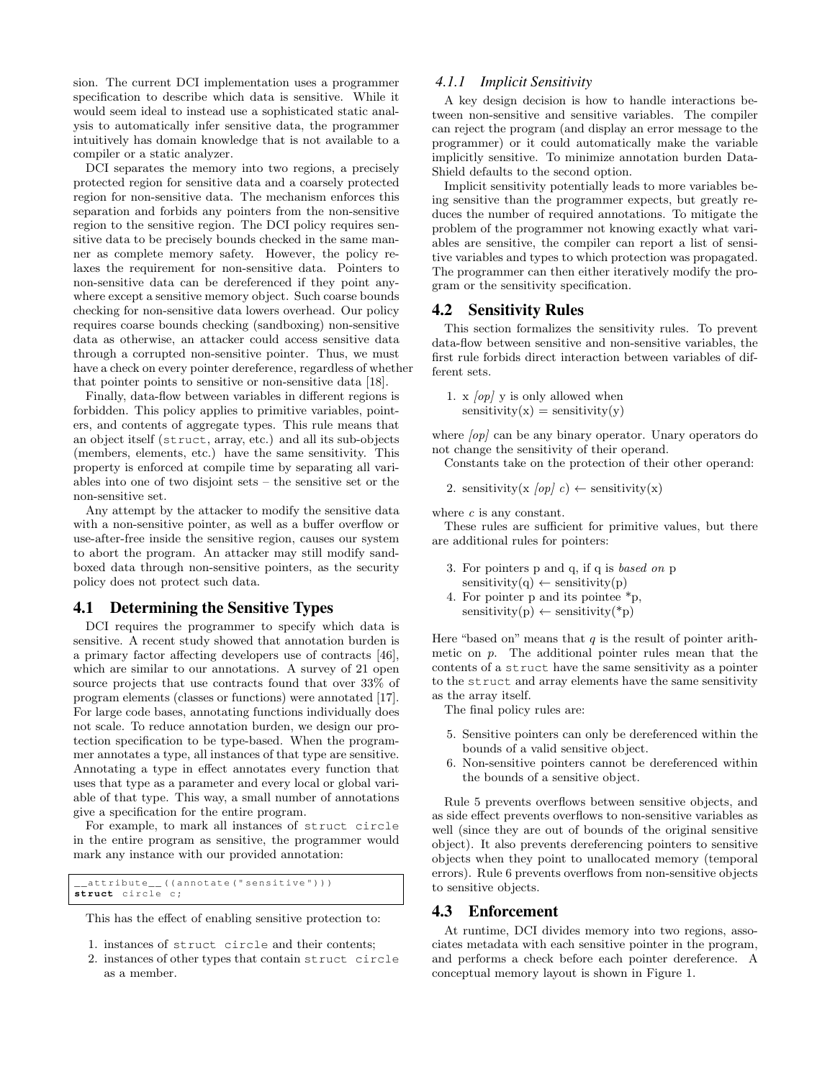sion. The current DCI implementation uses a programmer specification to describe which data is sensitive. While it would seem ideal to instead use a sophisticated static analysis to automatically infer sensitive data, the programmer intuitively has domain knowledge that is not available to a compiler or a static analyzer.

DCI separates the memory into two regions, a precisely protected region for sensitive data and a coarsely protected region for non-sensitive data. The mechanism enforces this separation and forbids any pointers from the non-sensitive region to the sensitive region. The DCI policy requires sensitive data to be precisely bounds checked in the same manner as complete memory safety. However, the policy relaxes the requirement for non-sensitive data. Pointers to non-sensitive data can be dereferenced if they point anywhere except a sensitive memory object. Such coarse bounds checking for non-sensitive data lowers overhead. Our policy requires coarse bounds checking (sandboxing) non-sensitive data as otherwise, an attacker could access sensitive data through a corrupted non-sensitive pointer. Thus, we must have a check on every pointer dereference, regardless of whether that pointer points to sensitive or non-sensitive data [\[18\]](#page-11-21).

Finally, data-flow between variables in different regions is forbidden. This policy applies to primitive variables, pointers, and contents of aggregate types. This rule means that an object itself (struct, array, etc.) and all its sub-objects (members, elements, etc.) have the same sensitivity. This property is enforced at compile time by separating all variables into one of two disjoint sets – the sensitive set or the non-sensitive set.

Any attempt by the attacker to modify the sensitive data with a non-sensitive pointer, as well as a buffer overflow or use-after-free inside the sensitive region, causes our system to abort the program. An attacker may still modify sandboxed data through non-sensitive pointers, as the security policy does not protect such data.

# 4.1 Determining the Sensitive Types

DCI requires the programmer to specify which data is sensitive. A recent study showed that annotation burden is a primary factor affecting developers use of contracts [\[46\]](#page-11-22), which are similar to our annotations. A survey of 21 open source projects that use contracts found that over 33% of program elements (classes or functions) were annotated [\[17\]](#page-11-23). For large code bases, annotating functions individually does not scale. To reduce annotation burden, we design our protection specification to be type-based. When the programmer annotates a type, all instances of that type are sensitive. Annotating a type in effect annotates every function that uses that type as a parameter and every local or global variable of that type. This way, a small number of annotations give a specification for the entire program.

For example, to mark all instances of struct circle in the entire program as sensitive, the programmer would mark any instance with our provided annotation:

```
_attribute__((annotate("sensitive")))
struct circle c ;
```
This has the effect of enabling sensitive protection to:

- 1. instances of struct circle and their contents;
- 2. instances of other types that contain struct circle as a member.

#### *4.1.1 Implicit Sensitivity*

A key design decision is how to handle interactions between non-sensitive and sensitive variables. The compiler can reject the program (and display an error message to the programmer) or it could automatically make the variable implicitly sensitive. To minimize annotation burden Data-Shield defaults to the second option.

Implicit sensitivity potentially leads to more variables being sensitive than the programmer expects, but greatly reduces the number of required annotations. To mitigate the problem of the programmer not knowing exactly what variables are sensitive, the compiler can report a list of sensitive variables and types to which protection was propagated. The programmer can then either iteratively modify the program or the sensitivity specification.

# <span id="page-2-0"></span>4.2 Sensitivity Rules

This section formalizes the sensitivity rules. To prevent data-flow between sensitive and non-sensitive variables, the first rule forbids direct interaction between variables of different sets.

1.  $x$  *[op]*  $y$  is only allowed when  $sensitivity(x) = sensitivity(y)$ 

where  $\langle op \rangle$  can be any binary operator. Unary operators do not change the sensitivity of their operand.

Constants take on the protection of their other operand:

2. sensitivity(x  $\{op\} c$ )  $\leftarrow$  sensitivity(x)

where  $c$  is any constant.

These rules are sufficient for primitive values, but there are additional rules for pointers:

- 3. For pointers p and q, if q is based on p  $sensitivity(q) \leftarrow sensitivity(p)$
- 4. For pointer p and its pointee \*p,  $sensitivity(p) \leftarrow sensitivity(*p)$

Here "based on" means that  $q$  is the result of pointer arithmetic on  $p$ . The additional pointer rules mean that the contents of a struct have the same sensitivity as a pointer to the struct and array elements have the same sensitivity as the array itself.

The final policy rules are:

- 5. Sensitive pointers can only be dereferenced within the bounds of a valid sensitive object.
- 6. Non-sensitive pointers cannot be dereferenced within the bounds of a sensitive object.

Rule 5 prevents overflows between sensitive objects, and as side effect prevents overflows to non-sensitive variables as well (since they are out of bounds of the original sensitive object). It also prevents dereferencing pointers to sensitive objects when they point to unallocated memory (temporal errors). Rule 6 prevents overflows from non-sensitive objects to sensitive objects.

#### 4.3 Enforcement

At runtime, DCI divides memory into two regions, associates metadata with each sensitive pointer in the program, and performs a check before each pointer dereference. A conceptual memory layout is shown in [Figure 1.](#page-3-0)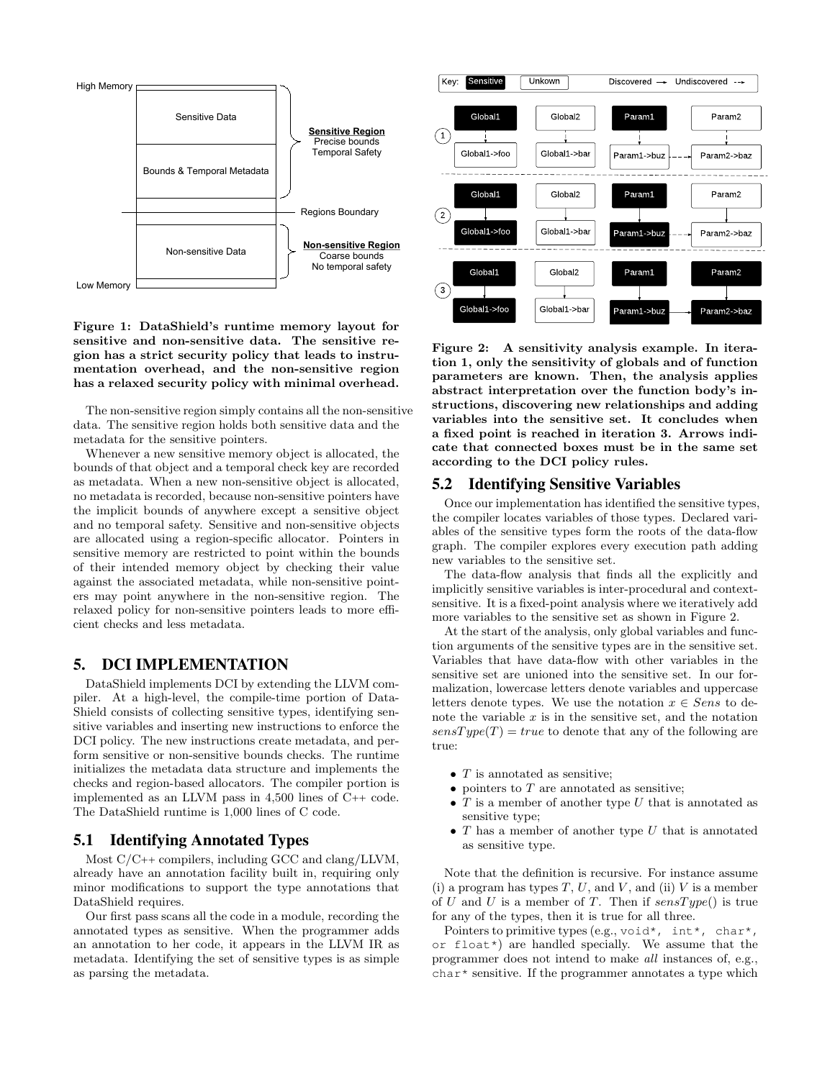

#### <span id="page-3-0"></span>Figure 1: DataShield's runtime memory layout for sensitive and non-sensitive data. The sensitive region has a strict security policy that leads to instrumentation overhead, and the non-sensitive region has a relaxed security policy with minimal overhead.

The non-sensitive region simply contains all the non-sensitive data. The sensitive region holds both sensitive data and the metadata for the sensitive pointers.

Whenever a new sensitive memory object is allocated, the bounds of that object and a temporal check key are recorded as metadata. When a new non-sensitive object is allocated, no metadata is recorded, because non-sensitive pointers have the implicit bounds of anywhere except a sensitive object and no temporal safety. Sensitive and non-sensitive objects are allocated using a region-specific allocator. Pointers in sensitive memory are restricted to point within the bounds of their intended memory object by checking their value against the associated metadata, while non-sensitive pointers may point anywhere in the non-sensitive region. The relaxed policy for non-sensitive pointers leads to more efficient checks and less metadata.

# 5. DCI IMPLEMENTATION

DataShield implements DCI by extending the LLVM compiler. At a high-level, the compile-time portion of Data-Shield consists of collecting sensitive types, identifying sensitive variables and inserting new instructions to enforce the DCI policy. The new instructions create metadata, and perform sensitive or non-sensitive bounds checks. The runtime initializes the metadata data structure and implements the checks and region-based allocators. The compiler portion is implemented as an LLVM pass in 4,500 lines of C++ code. The DataShield runtime is 1,000 lines of C code.

# 5.1 Identifying Annotated Types

Most C/C++ compilers, including GCC and clang/LLVM, already have an annotation facility built in, requiring only minor modifications to support the type annotations that DataShield requires.

Our first pass scans all the code in a module, recording the annotated types as sensitive. When the programmer adds an annotation to her code, it appears in the LLVM IR as metadata. Identifying the set of sensitive types is as simple as parsing the metadata.



<span id="page-3-1"></span>Figure 2: A sensitivity analysis example. In iteration 1, only the sensitivity of globals and of function parameters are known. Then, the analysis applies abstract interpretation over the function body's instructions, discovering new relationships and adding variables into the sensitive set. It concludes when a fixed point is reached in iteration 3. Arrows indicate that connected boxes must be in the same set according to the DCI policy rules.

# <span id="page-3-2"></span>5.2 Identifying Sensitive Variables

Once our implementation has identified the sensitive types, the compiler locates variables of those types. Declared variables of the sensitive types form the roots of the data-flow graph. The compiler explores every execution path adding new variables to the sensitive set.

The data-flow analysis that finds all the explicitly and implicitly sensitive variables is inter-procedural and contextsensitive. It is a fixed-point analysis where we iteratively add more variables to the sensitive set as shown in [Figure 2.](#page-3-1)

At the start of the analysis, only global variables and function arguments of the sensitive types are in the sensitive set. Variables that have data-flow with other variables in the sensitive set are unioned into the sensitive set. In our formalization, lowercase letters denote variables and uppercase letters denote types. We use the notation  $x \in Sens$  to denote the variable  $x$  is in the sensitive set, and the notation  $sensType(T) = true$  to denote that any of the following are true:

- $T$  is annotated as sensitive;
- pointers to  $T$  are annotated as sensitive;
- $T$  is a member of another type  $U$  that is annotated as sensitive type;
- $T$  has a member of another type  $U$  that is annotated as sensitive type.

Note that the definition is recursive. For instance assume (i) a program has types  $T, U$ , and  $V$ , and (ii) V is a member of U and U is a member of T. Then if  $sensType()$  is true for any of the types, then it is true for all three.

Pointers to primitive types (e.g.,  $void^*$ , int\*, char\*, or float\*) are handled specially. We assume that the programmer does not intend to make all instances of, e.g., char\* sensitive. If the programmer annotates a type which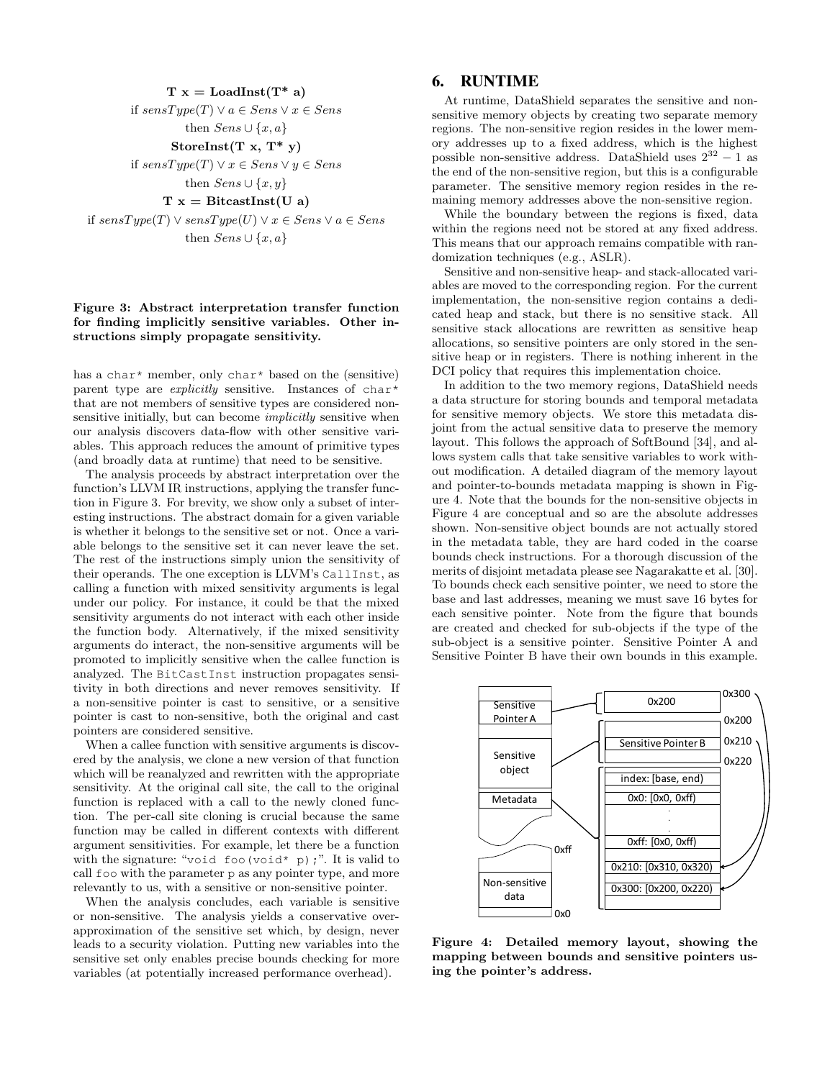$T x =$ LoadInst( $T^* a$ ) if  $sensType(T) ∨ a ∈ Sens ∨ x ∈ Sens$ then  $Sens \cup \{x,a\}$ 

StoreInst $(T x, T^* y)$ 

if  $sensType(T)$   $\lor$   $x \in Sens \lor y \in Sens$ 

then  $Sens \cup \{x, y\}$ 

 $T x = \text{BitcastInst}(U a)$ 

if  $sensType(T)$  ∨  $sensType(U)$  ∨  $x \in Sens \vee a \in Sens$ then  $Sens \cup \{x,a\}$ 

#### <span id="page-4-0"></span>Figure 3: Abstract interpretation transfer function for finding implicitly sensitive variables. Other instructions simply propagate sensitivity.

has a char\* member, only char\* based on the (sensitive) parent type are *explicitly* sensitive. Instances of char\* that are not members of sensitive types are considered nonsensitive initially, but can become *implicitly* sensitive when our analysis discovers data-flow with other sensitive variables. This approach reduces the amount of primitive types (and broadly data at runtime) that need to be sensitive.

The analysis proceeds by abstract interpretation over the function's LLVM IR instructions, applying the transfer function in [Figure 3.](#page-4-0) For brevity, we show only a subset of interesting instructions. The abstract domain for a given variable is whether it belongs to the sensitive set or not. Once a variable belongs to the sensitive set it can never leave the set. The rest of the instructions simply union the sensitivity of their operands. The one exception is LLVM's CallInst, as calling a function with mixed sensitivity arguments is legal under our policy. For instance, it could be that the mixed sensitivity arguments do not interact with each other inside the function body. Alternatively, if the mixed sensitivity arguments do interact, the non-sensitive arguments will be promoted to implicitly sensitive when the callee function is analyzed. The BitCastInst instruction propagates sensitivity in both directions and never removes sensitivity. If a non-sensitive pointer is cast to sensitive, or a sensitive pointer is cast to non-sensitive, both the original and cast pointers are considered sensitive.

When a callee function with sensitive arguments is discovered by the analysis, we clone a new version of that function which will be reanalyzed and rewritten with the appropriate sensitivity. At the original call site, the call to the original function is replaced with a call to the newly cloned function. The per-call site cloning is crucial because the same function may be called in different contexts with different argument sensitivities. For example, let there be a function with the signature: "void foo(void\* p);". It is valid to call foo with the parameter p as any pointer type, and more relevantly to us, with a sensitive or non-sensitive pointer.

When the analysis concludes, each variable is sensitive or non-sensitive. The analysis yields a conservative overapproximation of the sensitive set which, by design, never leads to a security violation. Putting new variables into the sensitive set only enables precise bounds checking for more variables (at potentially increased performance overhead).

# 6. RUNTIME

At runtime, DataShield separates the sensitive and nonsensitive memory objects by creating two separate memory regions. The non-sensitive region resides in the lower memory addresses up to a fixed address, which is the highest possible non-sensitive address. DataShield uses  $2^{32} - 1$  as the end of the non-sensitive region, but this is a configurable parameter. The sensitive memory region resides in the remaining memory addresses above the non-sensitive region.

While the boundary between the regions is fixed, data within the regions need not be stored at any fixed address. This means that our approach remains compatible with randomization techniques (e.g., ASLR).

Sensitive and non-sensitive heap- and stack-allocated variables are moved to the corresponding region. For the current implementation, the non-sensitive region contains a dedicated heap and stack, but there is no sensitive stack. All sensitive stack allocations are rewritten as sensitive heap allocations, so sensitive pointers are only stored in the sensitive heap or in registers. There is nothing inherent in the DCI policy that requires this implementation choice.

In addition to the two memory regions, DataShield needs a data structure for storing bounds and temporal metadata for sensitive memory objects. We store this metadata disjoint from the actual sensitive data to preserve the memory layout. This follows the approach of SoftBound [\[34\]](#page-11-9), and allows system calls that take sensitive variables to work without modification. A detailed diagram of the memory layout and pointer-to-bounds metadata mapping is shown in [Fig](#page-4-1)[ure 4.](#page-4-1) Note that the bounds for the non-sensitive objects in [Figure 4](#page-4-1) are conceptual and so are the absolute addresses shown. Non-sensitive object bounds are not actually stored in the metadata table, they are hard coded in the coarse bounds check instructions. For a thorough discussion of the merits of disjoint metadata please see Nagarakatte et al. [\[30\]](#page-11-12). To bounds check each sensitive pointer, we need to store the base and last addresses, meaning we must save 16 bytes for each sensitive pointer. Note from the figure that bounds are created and checked for sub-objects if the type of the sub-object is a sensitive pointer. Sensitive Pointer A and Sensitive Pointer B have their own bounds in this example.



<span id="page-4-1"></span>Figure 4: Detailed memory layout, showing the mapping between bounds and sensitive pointers using the pointer's address.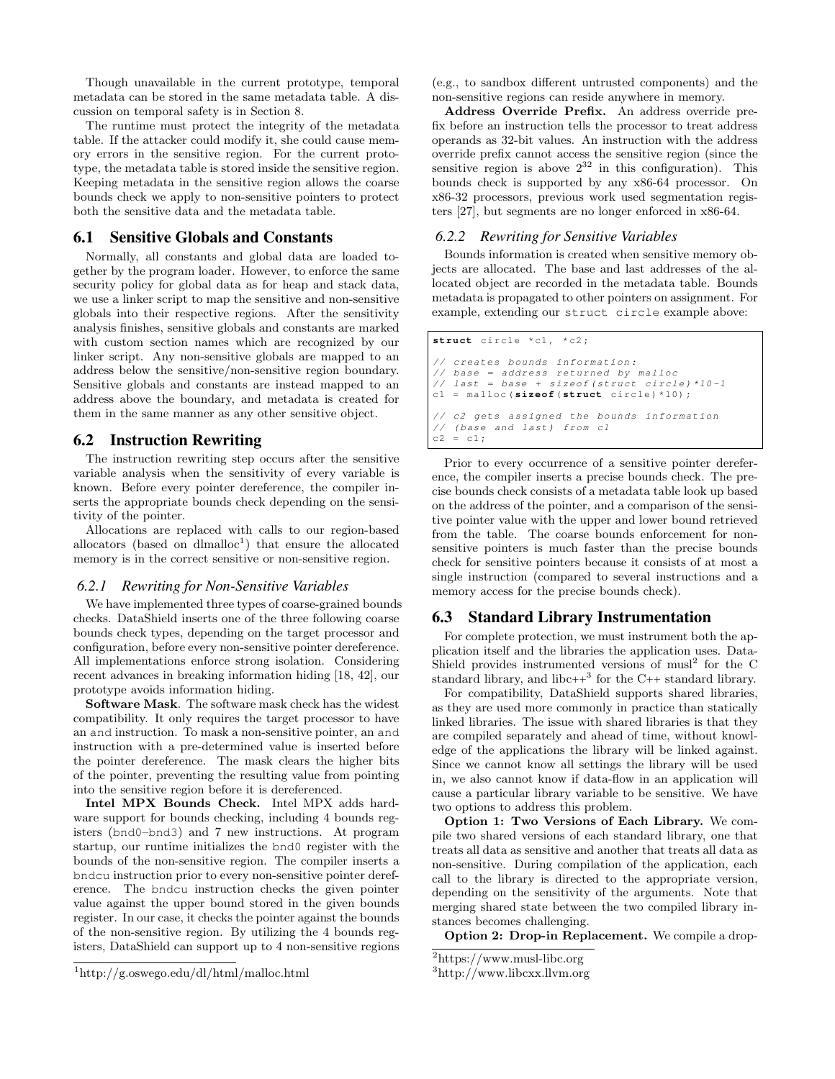Though unavailable in the current prototype, temporal metadata can be stored in the same metadata table. A discussion on temporal safety is in [Section 8.](#page-9-0)

The runtime must protect the integrity of the metadata table. If the attacker could modify it, she could cause memory errors in the sensitive region. For the current prototype, the metadata table is stored inside the sensitive region. Keeping metadata in the sensitive region allows the coarse bounds check we apply to non-sensitive pointers to protect both the sensitive data and the metadata table.

# 6.1 Sensitive Globals and Constants

Normally, all constants and global data are loaded together by the program loader. However, to enforce the same security policy for global data as for heap and stack data, we use a linker script to map the sensitive and non-sensitive globals into their respective regions. After the sensitivity analysis finishes, sensitive globals and constants are marked with custom section names which are recognized by our linker script. Any non-sensitive globals are mapped to an address below the sensitive/non-sensitive region boundary. Sensitive globals and constants are instead mapped to an address above the boundary, and metadata is created for them in the same manner as any other sensitive object.

# 6.2 Instruction Rewriting

The instruction rewriting step occurs after the sensitive variable analysis when the sensitivity of every variable is known. Before every pointer dereference, the compiler inserts the appropriate bounds check depending on the sensitivity of the pointer.

Allocations are replaced with calls to our region-based allocators (based on  $d$ lmalloc<sup>[1](#page-5-0)</sup>) that ensure the allocated memory is in the correct sensitive or non-sensitive region.

#### *6.2.1 Rewriting for Non-Sensitive Variables*

We have implemented three types of coarse-grained bounds checks. DataShield inserts one of the three following coarse bounds check types, depending on the target processor and configuration, before every non-sensitive pointer dereference. All implementations enforce strong isolation. Considering recent advances in breaking information hiding [\[18,](#page-11-21) [42\]](#page-11-24), our prototype avoids information hiding.

Software Mask. The software mask check has the widest compatibility. It only requires the target processor to have an and instruction. To mask a non-sensitive pointer, an and instruction with a pre-determined value is inserted before the pointer dereference. The mask clears the higher bits of the pointer, preventing the resulting value from pointing into the sensitive region before it is dereferenced.

Intel MPX Bounds Check. Intel MPX adds hardware support for bounds checking, including 4 bounds registers (bnd0–bnd3) and 7 new instructions. At program startup, our runtime initializes the bnd0 register with the bounds of the non-sensitive region. The compiler inserts a bndcu instruction prior to every non-sensitive pointer dereference. The bndcu instruction checks the given pointer value against the upper bound stored in the given bounds register. In our case, it checks the pointer against the bounds of the non-sensitive region. By utilizing the 4 bounds registers, DataShield can support up to 4 non-sensitive regions

(e.g., to sandbox different untrusted components) and the non-sensitive regions can reside anywhere in memory.

Address Override Prefix. An address override prefix before an instruction tells the processor to treat address operands as 32-bit values. An instruction with the address override prefix cannot access the sensitive region (since the sensitive region is above  $2^{32}$  in this configuration). This bounds check is supported by any x86-64 processor. On x86-32 processors, previous work used segmentation registers [\[27\]](#page-11-2), but segments are no longer enforced in x86-64.

#### *6.2.2 Rewriting for Sensitive Variables*

Bounds information is created when sensitive memory objects are allocated. The base and last addresses of the allocated object are recorded in the metadata table. Bounds metadata is propagated to other pointers on assignment. For example, extending our struct circle example above:

```
struct circle *c1, *c2;
   // creates bounds information :
// base = address returned by malloc
// last = base + sizeof ( struct circle ) *10 -1
c1 = malloc ( sizeof ( struct circle ) *10) ;
// c2 gets assigned the bounds information
// ( base and last ) from c1
c2 = c1;
```
Prior to every occurrence of a sensitive pointer dereference, the compiler inserts a precise bounds check. The precise bounds check consists of a metadata table look up based on the address of the pointer, and a comparison of the sensitive pointer value with the upper and lower bound retrieved from the table. The coarse bounds enforcement for nonsensitive pointers is much faster than the precise bounds check for sensitive pointers because it consists of at most a single instruction (compared to several instructions and a memory access for the precise bounds check).

#### 6.3 Standard Library Instrumentation

For complete protection, we must instrument both the application itself and the libraries the application uses. Data-Shield provides instrumented versions of  $mus^{2}$  $mus^{2}$  $mus^{2}$  for the C standard library, and libc++ $3$  for the C++ standard library.

For compatibility, DataShield supports shared libraries, as they are used more commonly in practice than statically linked libraries. The issue with shared libraries is that they are compiled separately and ahead of time, without knowledge of the applications the library will be linked against. Since we cannot know all settings the library will be used in, we also cannot know if data-flow in an application will cause a particular library variable to be sensitive. We have two options to address this problem.

Option 1: Two Versions of Each Library. We compile two shared versions of each standard library, one that treats all data as sensitive and another that treats all data as non-sensitive. During compilation of the application, each call to the library is directed to the appropriate version, depending on the sensitivity of the arguments. Note that merging shared state between the two compiled library instances becomes challenging.

Option 2: Drop-in Replacement. We compile a drop-

<span id="page-5-0"></span><sup>1</sup>http://g.oswego.edu/dl/html/malloc.html

<span id="page-5-1"></span><sup>2</sup>https://www.musl-libc.org

<span id="page-5-2"></span><sup>3</sup>http://www.libcxx.llvm.org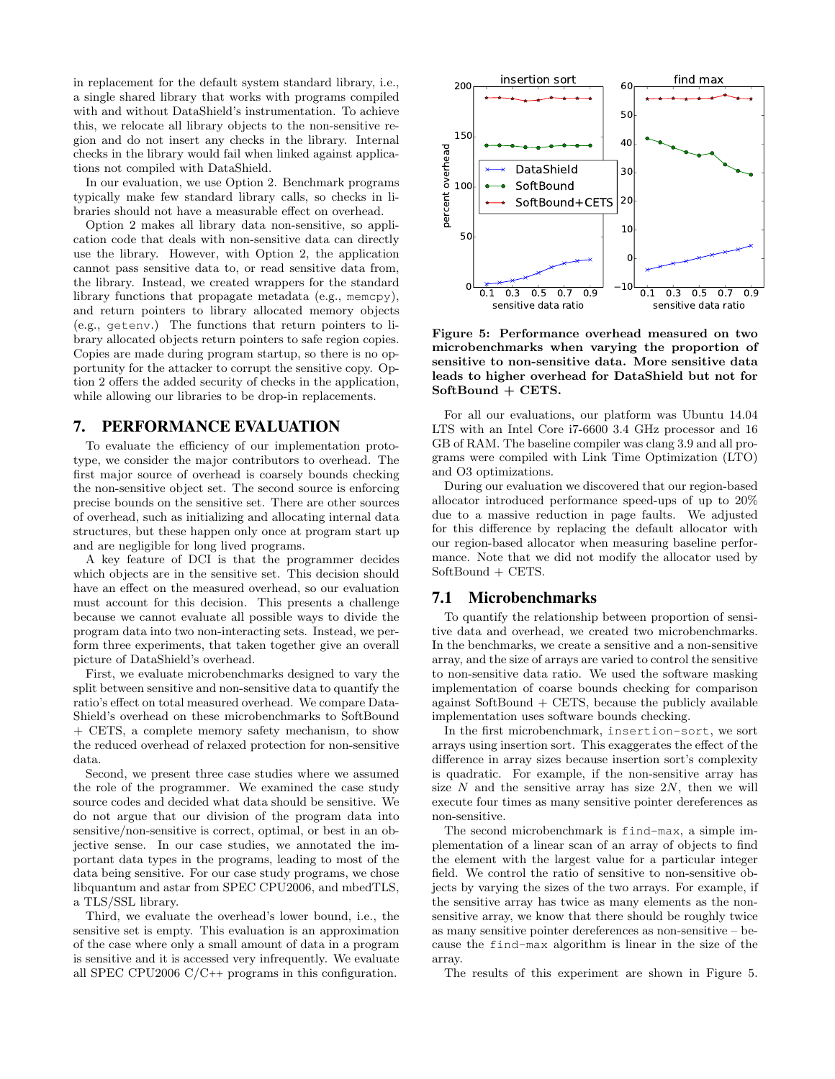in replacement for the default system standard library, i.e., a single shared library that works with programs compiled with and without DataShield's instrumentation. To achieve this, we relocate all library objects to the non-sensitive region and do not insert any checks in the library. Internal checks in the library would fail when linked against applications not compiled with DataShield.

In our evaluation, we use Option 2. Benchmark programs typically make few standard library calls, so checks in libraries should not have a measurable effect on overhead.

Option 2 makes all library data non-sensitive, so application code that deals with non-sensitive data can directly use the library. However, with Option 2, the application cannot pass sensitive data to, or read sensitive data from, the library. Instead, we created wrappers for the standard library functions that propagate metadata (e.g., memcpy), and return pointers to library allocated memory objects (e.g., getenv.) The functions that return pointers to library allocated objects return pointers to safe region copies. Copies are made during program startup, so there is no opportunity for the attacker to corrupt the sensitive copy. Option 2 offers the added security of checks in the application, while allowing our libraries to be drop-in replacements.

# 7. PERFORMANCE EVALUATION

To evaluate the efficiency of our implementation prototype, we consider the major contributors to overhead. The first major source of overhead is coarsely bounds checking the non-sensitive object set. The second source is enforcing precise bounds on the sensitive set. There are other sources of overhead, such as initializing and allocating internal data structures, but these happen only once at program start up and are negligible for long lived programs.

A key feature of DCI is that the programmer decides which objects are in the sensitive set. This decision should have an effect on the measured overhead, so our evaluation must account for this decision. This presents a challenge because we cannot evaluate all possible ways to divide the program data into two non-interacting sets. Instead, we perform three experiments, that taken together give an overall picture of DataShield's overhead.

First, we evaluate microbenchmarks designed to vary the split between sensitive and non-sensitive data to quantify the ratio's effect on total measured overhead. We compare Data-Shield's overhead on these microbenchmarks to SoftBound + CETS, a complete memory safety mechanism, to show the reduced overhead of relaxed protection for non-sensitive data.

Second, we present three case studies where we assumed the role of the programmer. We examined the case study source codes and decided what data should be sensitive. We do not argue that our division of the program data into sensitive/non-sensitive is correct, optimal, or best in an objective sense. In our case studies, we annotated the important data types in the programs, leading to most of the data being sensitive. For our case study programs, we chose libquantum and astar from SPEC CPU2006, and mbedTLS, a TLS/SSL library.

Third, we evaluate the overhead's lower bound, i.e., the sensitive set is empty. This evaluation is an approximation of the case where only a small amount of data in a program is sensitive and it is accessed very infrequently. We evaluate all SPEC CPU2006 C/C++ programs in this configuration.



<span id="page-6-0"></span>Figure 5: Performance overhead measured on two microbenchmarks when varying the proportion of sensitive to non-sensitive data. More sensitive data leads to higher overhead for DataShield but not for SoftBound + CETS.

For all our evaluations, our platform was Ubuntu 14.04 LTS with an Intel Core i7-6600 3.4 GHz processor and 16 GB of RAM. The baseline compiler was clang 3.9 and all programs were compiled with Link Time Optimization (LTO) and O3 optimizations.

During our evaluation we discovered that our region-based allocator introduced performance speed-ups of up to 20% due to a massive reduction in page faults. We adjusted for this difference by replacing the default allocator with our region-based allocator when measuring baseline performance. Note that we did not modify the allocator used by SoftBound + CETS.

# 7.1 Microbenchmarks

To quantify the relationship between proportion of sensitive data and overhead, we created two microbenchmarks. In the benchmarks, we create a sensitive and a non-sensitive array, and the size of arrays are varied to control the sensitive to non-sensitive data ratio. We used the software masking implementation of coarse bounds checking for comparison against SoftBound + CETS, because the publicly available implementation uses software bounds checking.

In the first microbenchmark, insertion-sort, we sort arrays using insertion sort. This exaggerates the effect of the difference in array sizes because insertion sort's complexity is quadratic. For example, if the non-sensitive array has size  $N$  and the sensitive array has size  $2N$ , then we will execute four times as many sensitive pointer dereferences as non-sensitive.

The second microbenchmark is find-max, a simple implementation of a linear scan of an array of objects to find the element with the largest value for a particular integer field. We control the ratio of sensitive to non-sensitive objects by varying the sizes of the two arrays. For example, if the sensitive array has twice as many elements as the nonsensitive array, we know that there should be roughly twice as many sensitive pointer dereferences as non-sensitive – because the find-max algorithm is linear in the size of the array.

The results of this experiment are shown in [Figure 5.](#page-6-0)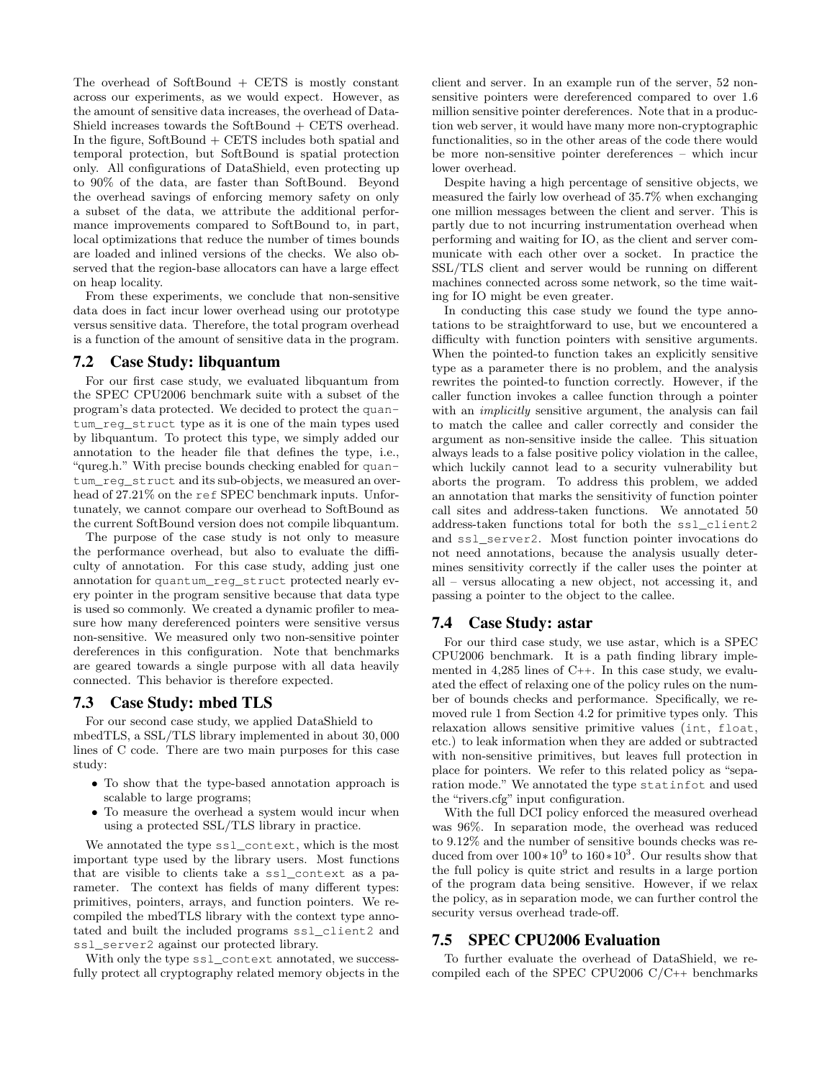The overhead of SoftBound  $+$  CETS is mostly constant across our experiments, as we would expect. However, as the amount of sensitive data increases, the overhead of Data-Shield increases towards the SoftBound + CETS overhead. In the figure,  $SoftBound + CETS$  includes both spatial and temporal protection, but SoftBound is spatial protection only. All configurations of DataShield, even protecting up to 90% of the data, are faster than SoftBound. Beyond the overhead savings of enforcing memory safety on only a subset of the data, we attribute the additional performance improvements compared to SoftBound to, in part, local optimizations that reduce the number of times bounds are loaded and inlined versions of the checks. We also observed that the region-base allocators can have a large effect on heap locality.

From these experiments, we conclude that non-sensitive data does in fact incur lower overhead using our prototype versus sensitive data. Therefore, the total program overhead is a function of the amount of sensitive data in the program.

#### 7.2 Case Study: libquantum

For our first case study, we evaluated libquantum from the SPEC CPU2006 benchmark suite with a subset of the program's data protected. We decided to protect the quantum\_reg\_struct type as it is one of the main types used by libquantum. To protect this type, we simply added our annotation to the header file that defines the type, i.e., "qureg.h." With precise bounds checking enabled for quantum\_reg\_struct and its sub-objects, we measured an overhead of 27.21% on the ref SPEC benchmark inputs. Unfortunately, we cannot compare our overhead to SoftBound as the current SoftBound version does not compile libquantum.

The purpose of the case study is not only to measure the performance overhead, but also to evaluate the difficulty of annotation. For this case study, adding just one annotation for quantum\_reg\_struct protected nearly every pointer in the program sensitive because that data type is used so commonly. We created a dynamic profiler to measure how many dereferenced pointers were sensitive versus non-sensitive. We measured only two non-sensitive pointer dereferences in this configuration. Note that benchmarks are geared towards a single purpose with all data heavily connected. This behavior is therefore expected.

# 7.3 Case Study: mbed TLS

For our second case study, we applied DataShield to mbedTLS, a SSL/TLS library implemented in about 30, 000 lines of C code. There are two main purposes for this case study:

- To show that the type-based annotation approach is scalable to large programs;
- To measure the overhead a system would incur when using a protected SSL/TLS library in practice.

We annotated the type ssl\_context, which is the most important type used by the library users. Most functions that are visible to clients take a ssl\_context as a parameter. The context has fields of many different types: primitives, pointers, arrays, and function pointers. We recompiled the mbedTLS library with the context type annotated and built the included programs ssl\_client2 and ssl\_server2 against our protected library.

With only the type ssl\_context annotated, we successfully protect all cryptography related memory objects in the client and server. In an example run of the server, 52 nonsensitive pointers were dereferenced compared to over 1.6 million sensitive pointer dereferences. Note that in a production web server, it would have many more non-cryptographic functionalities, so in the other areas of the code there would be more non-sensitive pointer dereferences – which incur lower overhead.

Despite having a high percentage of sensitive objects, we measured the fairly low overhead of 35.7% when exchanging one million messages between the client and server. This is partly due to not incurring instrumentation overhead when performing and waiting for IO, as the client and server communicate with each other over a socket. In practice the SSL/TLS client and server would be running on different machines connected across some network, so the time waiting for IO might be even greater.

In conducting this case study we found the type annotations to be straightforward to use, but we encountered a difficulty with function pointers with sensitive arguments. When the pointed-to function takes an explicitly sensitive type as a parameter there is no problem, and the analysis rewrites the pointed-to function correctly. However, if the caller function invokes a callee function through a pointer with an *implicitly* sensitive argument, the analysis can fail to match the callee and caller correctly and consider the argument as non-sensitive inside the callee. This situation always leads to a false positive policy violation in the callee, which luckily cannot lead to a security vulnerability but aborts the program. To address this problem, we added an annotation that marks the sensitivity of function pointer call sites and address-taken functions. We annotated 50 address-taken functions total for both the ssl\_client2 and ssl\_server2. Most function pointer invocations do not need annotations, because the analysis usually determines sensitivity correctly if the caller uses the pointer at all – versus allocating a new object, not accessing it, and passing a pointer to the object to the callee.

# 7.4 Case Study: astar

For our third case study, we use astar, which is a SPEC CPU2006 benchmark. It is a path finding library implemented in 4,285 lines of C++. In this case study, we evaluated the effect of relaxing one of the policy rules on the number of bounds checks and performance. Specifically, we removed rule 1 from [Section 4.2](#page-2-0) for primitive types only. This relaxation allows sensitive primitive values (int, float, etc.) to leak information when they are added or subtracted with non-sensitive primitives, but leaves full protection in place for pointers. We refer to this related policy as "separation mode." We annotated the type statinfot and used the "rivers.cfg" input configuration.

With the full DCI policy enforced the measured overhead was 96%. In separation mode, the overhead was reduced to 9.12% and the number of sensitive bounds checks was reduced from over  $100*10^9$  to  $160*10^3$ . Our results show that the full policy is quite strict and results in a large portion of the program data being sensitive. However, if we relax the policy, as in separation mode, we can further control the security versus overhead trade-off.

# 7.5 SPEC CPU2006 Evaluation

To further evaluate the overhead of DataShield, we recompiled each of the SPEC CPU2006 C/C++ benchmarks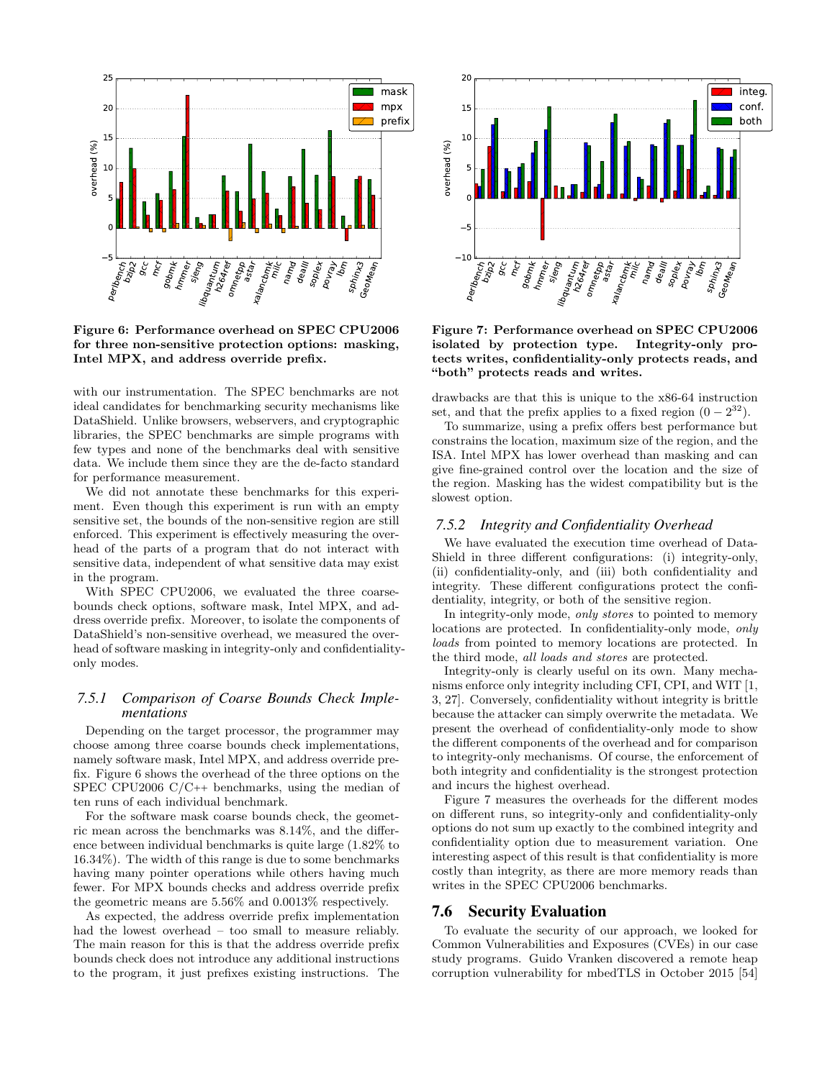

<span id="page-8-0"></span>Figure 6: Performance overhead on SPEC CPU2006 for three non-sensitive protection options: masking, Intel MPX, and address override prefix.

with our instrumentation. The SPEC benchmarks are not ideal candidates for benchmarking security mechanisms like DataShield. Unlike browsers, webservers, and cryptographic libraries, the SPEC benchmarks are simple programs with few types and none of the benchmarks deal with sensitive data. We include them since they are the de-facto standard for performance measurement.

We did not annotate these benchmarks for this experiment. Even though this experiment is run with an empty sensitive set, the bounds of the non-sensitive region are still enforced. This experiment is effectively measuring the overhead of the parts of a program that do not interact with sensitive data, independent of what sensitive data may exist in the program.

With SPEC CPU2006, we evaluated the three coarsebounds check options, software mask, Intel MPX, and address override prefix. Moreover, to isolate the components of DataShield's non-sensitive overhead, we measured the overhead of software masking in integrity-only and confidentialityonly modes.

# *7.5.1 Comparison of Coarse Bounds Check Implementations*

Depending on the target processor, the programmer may choose among three coarse bounds check implementations, namely software mask, Intel MPX, and address override prefix. [Figure 6](#page-8-0) shows the overhead of the three options on the SPEC CPU2006  $C/C_{++}$  benchmarks, using the median of ten runs of each individual benchmark.

For the software mask coarse bounds check, the geometric mean across the benchmarks was 8.14%, and the difference between individual benchmarks is quite large (1.82% to 16.34%). The width of this range is due to some benchmarks having many pointer operations while others having much fewer. For MPX bounds checks and address override prefix the geometric means are 5.56% and 0.0013% respectively. For the propriation of the propriation of the propriation of the propriation of the propriation of the propriation of the propriation of the propriation of the propriation of the propriation of the propriation of the perl

As expected, the address override prefix implementation had the lowest overhead – too small to measure reliably. The main reason for this is that the address override prefix bounds check does not introduce any additional instructions



<span id="page-8-1"></span>Figure 7: Performance overhead on SPEC CPU2006 isolated by protection type. Integrity-only protects writes, confidentiality-only protects reads, and "both" protects reads and writes.

drawbacks are that this is unique to the x86-64 instruction set, and that the prefix applies to a fixed region  $(0 - 2^{32})$ .

To summarize, using a prefix offers best performance but constrains the location, maximum size of the region, and the ISA. Intel MPX has lower overhead than masking and can give fine-grained control over the location and the size of the region. Masking has the widest compatibility but is the slowest option.

#### *7.5.2 Integrity and Confidentiality Overhead*

We have evaluated the execution time overhead of Data-Shield in three different configurations: (i) integrity-only, (ii) confidentiality-only, and (iii) both confidentiality and integrity. These different configurations protect the confidentiality, integrity, or both of the sensitive region.

In integrity-only mode, only stores to pointed to memory locations are protected. In confidentiality-only mode, only loads from pointed to memory locations are protected. In the third mode, all loads and stores are protected.

Integrity-only is clearly useful on its own. Many mechanisms enforce only integrity including CFI, CPI, and WIT [\[1,](#page-10-1) [3,](#page-10-5) [27\]](#page-11-2). Conversely, confidentiality without integrity is brittle because the attacker can simply overwrite the metadata. We present the overhead of confidentiality-only mode to show the different components of the overhead and for comparison to integrity-only mechanisms. Of course, the enforcement of both integrity and confidentiality is the strongest protection and incurs the highest overhead.

[Figure 7](#page-8-1) measures the overheads for the different modes on different runs, so integrity-only and confidentiality-only options do not sum up exactly to the combined integrity and confidentiality option due to measurement variation. One interesting aspect of this result is that confidentiality is more costly than integrity, as there are more memory reads than writes in the SPEC CPU2006 benchmarks.

#### 7.6 Security Evaluation

To evaluate the security of our approach, we looked for Common Vulnerabilities and Exposures (CVEs) in our case study programs. Guido Vranken discovered a remote heap corruption vulnerability for mbedTLS in October 2015 [\[54\]](#page-11-25)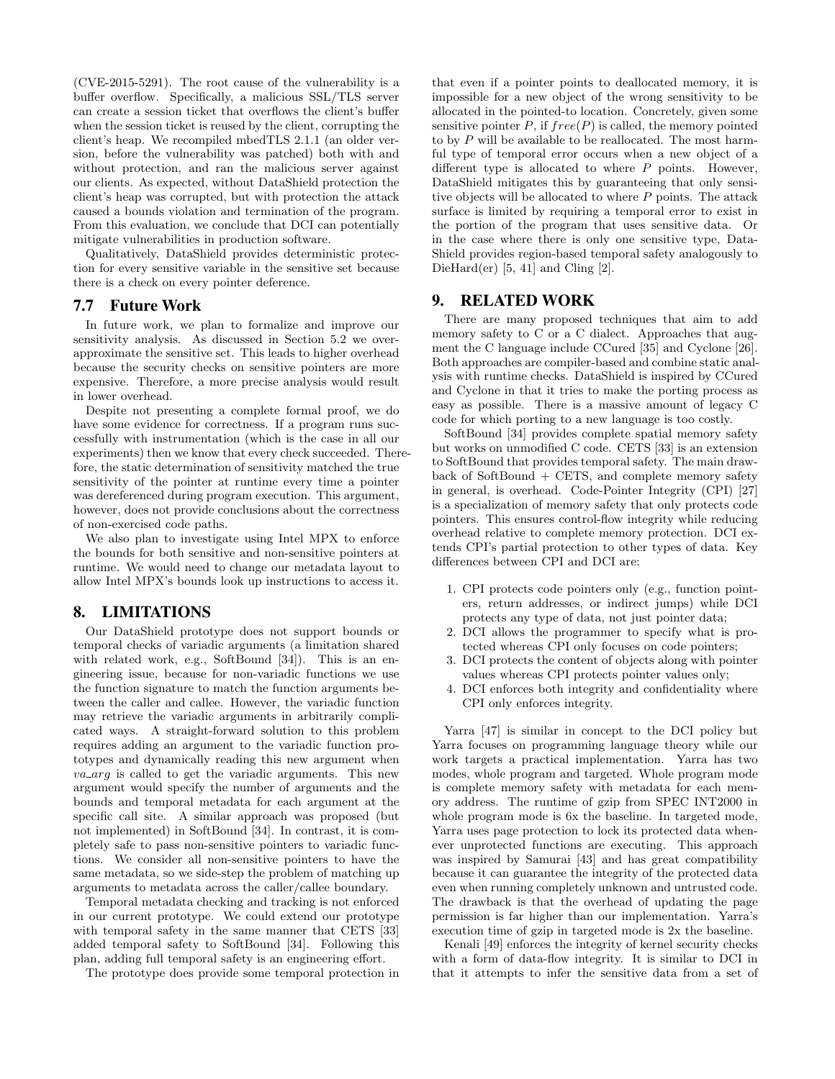(CVE-2015-5291). The root cause of the vulnerability is a buffer overflow. Specifically, a malicious SSL/TLS server can create a session ticket that overflows the client's buffer when the session ticket is reused by the client, corrupting the client's heap. We recompiled mbedTLS 2.1.1 (an older version, before the vulnerability was patched) both with and without protection, and ran the malicious server against our clients. As expected, without DataShield protection the client's heap was corrupted, but with protection the attack caused a bounds violation and termination of the program. From this evaluation, we conclude that DCI can potentially mitigate vulnerabilities in production software.

Qualitatively, DataShield provides deterministic protection for every sensitive variable in the sensitive set because there is a check on every pointer deference.

# 7.7 Future Work

In future work, we plan to formalize and improve our sensitivity analysis. As discussed in [Section 5.2](#page-3-2) we overapproximate the sensitive set. This leads to higher overhead because the security checks on sensitive pointers are more expensive. Therefore, a more precise analysis would result in lower overhead.

Despite not presenting a complete formal proof, we do have some evidence for correctness. If a program runs successfully with instrumentation (which is the case in all our experiments) then we know that every check succeeded. Therefore, the static determination of sensitivity matched the true sensitivity of the pointer at runtime every time a pointer was dereferenced during program execution. This argument, however, does not provide conclusions about the correctness of non-exercised code paths.

We also plan to investigate using Intel MPX to enforce the bounds for both sensitive and non-sensitive pointers at runtime. We would need to change our metadata layout to allow Intel MPX's bounds look up instructions to access it.

# <span id="page-9-0"></span>8. LIMITATIONS

Our DataShield prototype does not support bounds or temporal checks of variadic arguments (a limitation shared with related work, e.g., SoftBound [\[34\]](#page-11-9)). This is an engineering issue, because for non-variadic functions we use the function signature to match the function arguments between the caller and callee. However, the variadic function may retrieve the variadic arguments in arbitrarily complicated ways. A straight-forward solution to this problem requires adding an argument to the variadic function prototypes and dynamically reading this new argument when  $va_2$  is called to get the variadic arguments. This new argument would specify the number of arguments and the bounds and temporal metadata for each argument at the specific call site. A similar approach was proposed (but not implemented) in SoftBound [\[34\]](#page-11-9). In contrast, it is completely safe to pass non-sensitive pointers to variadic functions. We consider all non-sensitive pointers to have the same metadata, so we side-step the problem of matching up arguments to metadata across the caller/callee boundary.

Temporal metadata checking and tracking is not enforced in our current prototype. We could extend our prototype with temporal safety in the same manner that CETS [\[33\]](#page-11-26) added temporal safety to SoftBound [\[34\]](#page-11-9). Following this plan, adding full temporal safety is an engineering effort.

The prototype does provide some temporal protection in

that even if a pointer points to deallocated memory, it is impossible for a new object of the wrong sensitivity to be allocated in the pointed-to location. Concretely, given some sensitive pointer  $P$ , if  $free(P)$  is called, the memory pointed to by P will be available to be reallocated. The most harmful type of temporal error occurs when a new object of a different type is allocated to where P points. However, DataShield mitigates this by guaranteeing that only sensitive objects will be allocated to where P points. The attack surface is limited by requiring a temporal error to exist in the portion of the program that uses sensitive data. Or in the case where there is only one sensitive type, Data-Shield provides region-based temporal safety analogously to Die $Hard(er)$  [\[5,](#page-10-8) [41\]](#page-11-27) and Cling [\[2\]](#page-10-9).

# 9. RELATED WORK

There are many proposed techniques that aim to add memory safety to C or a C dialect. Approaches that augment the C language include CCured [\[35\]](#page-11-7) and Cyclone [\[26\]](#page-11-8). Both approaches are compiler-based and combine static analysis with runtime checks. DataShield is inspired by CCured and Cyclone in that it tries to make the porting process as easy as possible. There is a massive amount of legacy C code for which porting to a new language is too costly.

SoftBound [\[34\]](#page-11-9) provides complete spatial memory safety but works on unmodified C code. CETS [\[33\]](#page-11-26) is an extension to SoftBound that provides temporal safety. The main drawback of SoftBound + CETS, and complete memory safety in general, is overhead. Code-Pointer Integrity (CPI) [\[27\]](#page-11-2) is a specialization of memory safety that only protects code pointers. This ensures control-flow integrity while reducing overhead relative to complete memory protection. DCI extends CPI's partial protection to other types of data. Key differences between CPI and DCI are:

- 1. CPI protects code pointers only (e.g., function pointers, return addresses, or indirect jumps) while DCI protects any type of data, not just pointer data;
- 2. DCI allows the programmer to specify what is protected whereas CPI only focuses on code pointers;
- 3. DCI protects the content of objects along with pointer values whereas CPI protects pointer values only;
- 4. DCI enforces both integrity and confidentiality where CPI only enforces integrity.

Yarra [\[47\]](#page-11-28) is similar in concept to the DCI policy but Yarra focuses on programming language theory while our work targets a practical implementation. Yarra has two modes, whole program and targeted. Whole program mode is complete memory safety with metadata for each memory address. The runtime of gzip from SPEC INT2000 in whole program mode is 6x the baseline. In targeted mode, Yarra uses page protection to lock its protected data whenever unprotected functions are executing. This approach was inspired by Samurai [\[43\]](#page-11-29) and has great compatibility because it can guarantee the integrity of the protected data even when running completely unknown and untrusted code. The drawback is that the overhead of updating the page permission is far higher than our implementation. Yarra's execution time of gzip in targeted mode is 2x the baseline.

Kenali [\[49\]](#page-11-30) enforces the integrity of kernel security checks with a form of data-flow integrity. It is similar to DCI in that it attempts to infer the sensitive data from a set of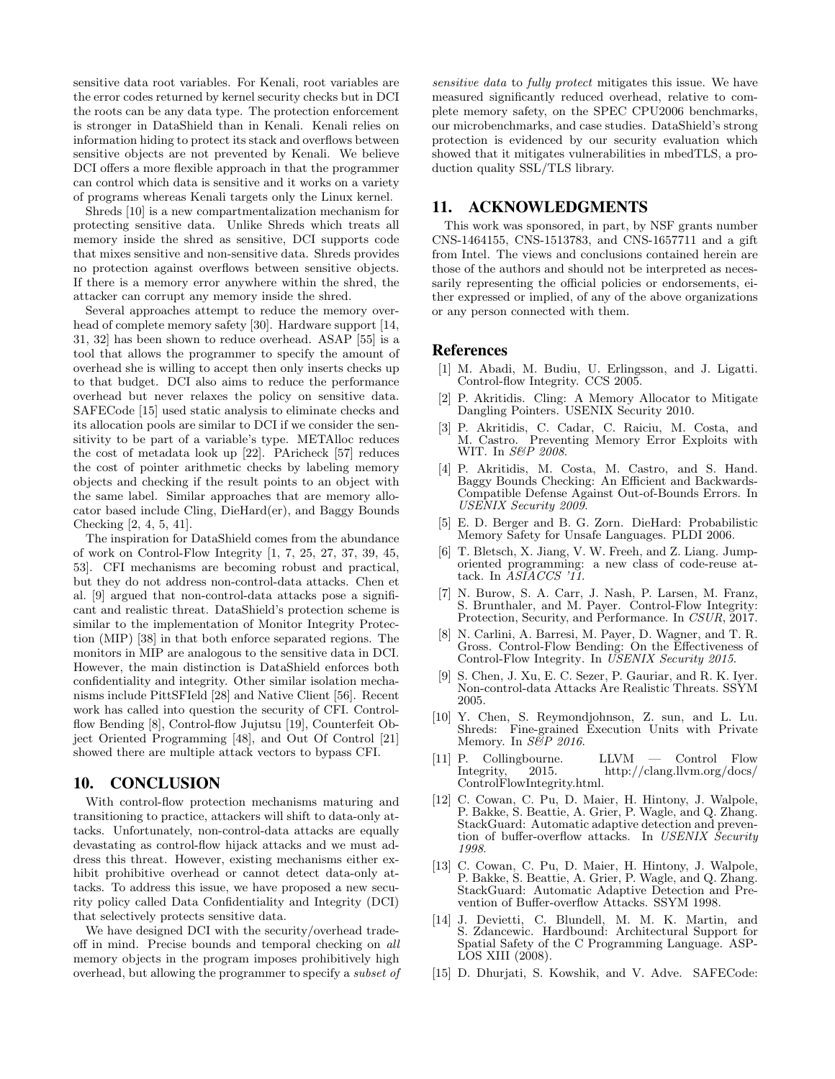sensitive data root variables. For Kenali, root variables are the error codes returned by kernel security checks but in DCI the roots can be any data type. The protection enforcement is stronger in DataShield than in Kenali. Kenali relies on information hiding to protect its stack and overflows between sensitive objects are not prevented by Kenali. We believe DCI offers a more flexible approach in that the programmer can control which data is sensitive and it works on a variety of programs whereas Kenali targets only the Linux kernel.

Shreds [\[10\]](#page-10-10) is a new compartmentalization mechanism for protecting sensitive data. Unlike Shreds which treats all memory inside the shred as sensitive, DCI supports code that mixes sensitive and non-sensitive data. Shreds provides no protection against overflows between sensitive objects. If there is a memory error anywhere within the shred, the attacker can corrupt any memory inside the shred.

Several approaches attempt to reduce the memory overhead of complete memory safety [\[30\]](#page-11-12). Hardware support [\[14,](#page-10-11) [31,](#page-11-31) [32\]](#page-11-32) has been shown to reduce overhead. ASAP [\[55\]](#page-11-33) is a tool that allows the programmer to specify the amount of overhead she is willing to accept then only inserts checks up to that budget. DCI also aims to reduce the performance overhead but never relaxes the policy on sensitive data. SAFECode [\[15\]](#page-10-12) used static analysis to eliminate checks and its allocation pools are similar to DCI if we consider the sensitivity to be part of a variable's type. METAlloc reduces the cost of metadata look up [\[22\]](#page-11-34). PAricheck [\[57\]](#page-11-35) reduces the cost of pointer arithmetic checks by labeling memory objects and checking if the result points to an object with the same label. Similar approaches that are memory allocator based include Cling, DieHard(er), and Baggy Bounds Checking [\[2,](#page-10-9) [4,](#page-10-13) [5,](#page-10-8) [41\]](#page-11-27).

The inspiration for DataShield comes from the abundance of work on Control-Flow Integrity [\[1,](#page-10-1) [7,](#page-10-14) [25,](#page-11-14) [27,](#page-11-2) [37,](#page-11-15) [39,](#page-11-16) [45,](#page-11-18) [53\]](#page-11-20). CFI mechanisms are becoming robust and practical, but they do not address non-control-data attacks. Chen et al. [\[9\]](#page-10-3) argued that non-control-data attacks pose a significant and realistic threat. DataShield's protection scheme is similar to the implementation of Monitor Integrity Protection (MIP) [\[38\]](#page-11-36) in that both enforce separated regions. The monitors in MIP are analogous to the sensitive data in DCI. However, the main distinction is DataShield enforces both confidentiality and integrity. Other similar isolation mechanisms include PittSFIeld [\[28\]](#page-11-37) and Native Client [\[56\]](#page-11-38). Recent work has called into question the security of CFI. Controlflow Bending [\[8\]](#page-10-4), Control-flow Jujutsu [\[19\]](#page-11-39), Counterfeit Object Oriented Programming [\[48\]](#page-11-40), and Out Of Control [\[21\]](#page-11-41) showed there are multiple attack vectors to bypass CFI.

# 10. CONCLUSION

With control-flow protection mechanisms maturing and transitioning to practice, attackers will shift to data-only attacks. Unfortunately, non-control-data attacks are equally devastating as control-flow hijack attacks and we must address this threat. However, existing mechanisms either exhibit prohibitive overhead or cannot detect data-only attacks. To address this issue, we have proposed a new security policy called Data Confidentiality and Integrity (DCI) that selectively protects sensitive data.

We have designed DCI with the security/overhead tradeoff in mind. Precise bounds and temporal checking on all memory objects in the program imposes prohibitively high overhead, but allowing the programmer to specify a subset of sensitive data to fully protect mitigates this issue. We have measured significantly reduced overhead, relative to complete memory safety, on the SPEC CPU2006 benchmarks, our microbenchmarks, and case studies. DataShield's strong protection is evidenced by our security evaluation which showed that it mitigates vulnerabilities in mbedTLS, a production quality SSL/TLS library.

# 11. ACKNOWLEDGMENTS

This work was sponsored, in part, by NSF grants number CNS-1464155, CNS-1513783, and CNS-1657711 and a gift from Intel. The views and conclusions contained herein are those of the authors and should not be interpreted as necessarily representing the official policies or endorsements, either expressed or implied, of any of the above organizations or any person connected with them.

#### References

- <span id="page-10-1"></span>[1] M. Abadi, M. Budiu, U. Erlingsson, and J. Ligatti. Control-flow Integrity. CCS 2005.
- <span id="page-10-9"></span>[2] P. Akritidis. Cling: A Memory Allocator to Mitigate Dangling Pointers. USENIX Security 2010.
- <span id="page-10-5"></span>[3] P. Akritidis, C. Cadar, C. Raiciu, M. Costa, and M. Castro. Preventing Memory Error Exploits with WIT. In S&P 2008.
- <span id="page-10-13"></span>[4] P. Akritidis, M. Costa, M. Castro, and S. Hand. Baggy Bounds Checking: An Efficient and Backwards-Compatible Defense Against Out-of-Bounds Errors. In USENIX Security 2009.
- <span id="page-10-8"></span>[5] E. D. Berger and B. G. Zorn. DieHard: Probabilistic Memory Safety for Unsafe Languages. PLDI 2006.
- <span id="page-10-7"></span>[6] T. Bletsch, X. Jiang, V. W. Freeh, and Z. Liang. Jumporiented programming: a new class of code-reuse attack. In ASIACCS '11.
- <span id="page-10-14"></span>[7] N. Burow, S. A. Carr, J. Nash, P. Larsen, M. Franz, S. Brunthaler, and M. Payer. Control-Flow Integrity: Protection, Security, and Performance. In CSUR, 2017.
- <span id="page-10-4"></span>[8] N. Carlini, A. Barresi, M. Payer, D. Wagner, and T. R. Gross. Control-Flow Bending: On the Effectiveness of Control-Flow Integrity. In USENIX Security 2015.
- <span id="page-10-3"></span>[9] S. Chen, J. Xu, E. C. Sezer, P. Gauriar, and R. K. Iyer. Non-control-data Attacks Are Realistic Threats. SSYM 2005.
- <span id="page-10-10"></span>[10] Y. Chen, S. Reymondjohnson, Z. sun, and L. Lu. Shreds: Fine-grained Execution Units with Private Memory. In  $S\breve{\otimes}P$  2016.
- <span id="page-10-2"></span>[11] P. Collingbourne. LLVM — Control Flow<br>Integrity, 2015. http://clang.llvm.org/docs/ http://clang.llvm.org/docs/ [ControlFlowIntegrity.html.](http://clang.llvm.org/docs/ControlFlowIntegrity.html)
- <span id="page-10-0"></span>[12] C. Cowan, C. Pu, D. Maier, H. Hintony, J. Walpole, P. Bakke, S. Beattie, A. Grier, P. Wagle, and Q. Zhang. StackGuard: Automatic adaptive detection and prevention of buffer-overflow attacks. In USENIX Security 1998.
- <span id="page-10-6"></span>[13] C. Cowan, C. Pu, D. Maier, H. Hintony, J. Walpole, P. Bakke, S. Beattie, A. Grier, P. Wagle, and Q. Zhang. StackGuard: Automatic Adaptive Detection and Prevention of Buffer-overflow Attacks. SSYM 1998.
- <span id="page-10-11"></span>[14] J. Devietti, C. Blundell, M. M. K. Martin, and S. Zdancewic. Hardbound: Architectural Support for Spatial Safety of the C Programming Language. ASP-LOS XIII (2008).
- <span id="page-10-12"></span>[15] D. Dhurjati, S. Kowshik, and V. Adve. SAFECode: